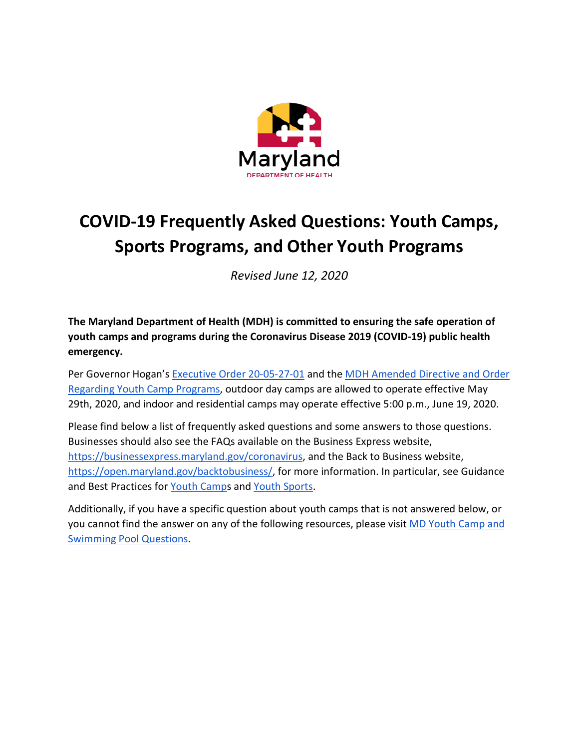

# **COVID-19 Frequently Asked Questions: Youth Camps, Sports Programs, and Other Youth Programs**

*Revised June 12, 2020*

**The Maryland Department of Health (MDH) is committed to ensuring the safe operation of youth camps and programs during the Coronavirus Disease 2019 (COVID-19) public health emergency.** 

Per Governor Hogan's [Executive Order 20-05-27-01](https://governor.maryland.gov/wp-content/uploads/2020/05/Gatherings-7th-AMENDED-5.27.20.pdf) and the MDH Amended Directive and Order [Regarding Youth Camp Programs,](https://phpa.health.maryland.gov/Documents/2020.06.12.02%20-%20MDH%20Order%20-%20Amended%20Youth%20Camps.pdf) outdoor day camps are allowed to operate effective May 29th, 2020, and indoor and residential camps may operate effective 5:00 p.m., June 19, 2020.

Please find below a list of frequently asked questions and some answers to those questions. Businesses should also see the FAQs available on the Business Express website, [https://businessexpress.maryland.gov/coronavirus,](https://businessexpress.maryland.gov/coronavirus) and the Back to Business website, [https://open.maryland.gov/backtobusiness/,](https://open.maryland.gov/backtobusiness/) for more information. In particular, see Guidance and Best Practices for [Youth Camps](https://commerce.maryland.gov/Documents/BusinessResource/Youth-Camps-COVID-19-Directives.pdf) and [Youth Sports.](https://commerce.maryland.gov/Documents/BusinessResource/Youth-Sports-COVID-19-Best-Practices.pdf)

Additionally, if you have a specific question about youth camps that is not answered below, or you cannot find the answer on any of the following resources, please visit MD Youth Camp and [Swimming Pool Questions.](https://app.smartsheet.com/b/form/89559a5a062641ca8b25d2642393b6ea)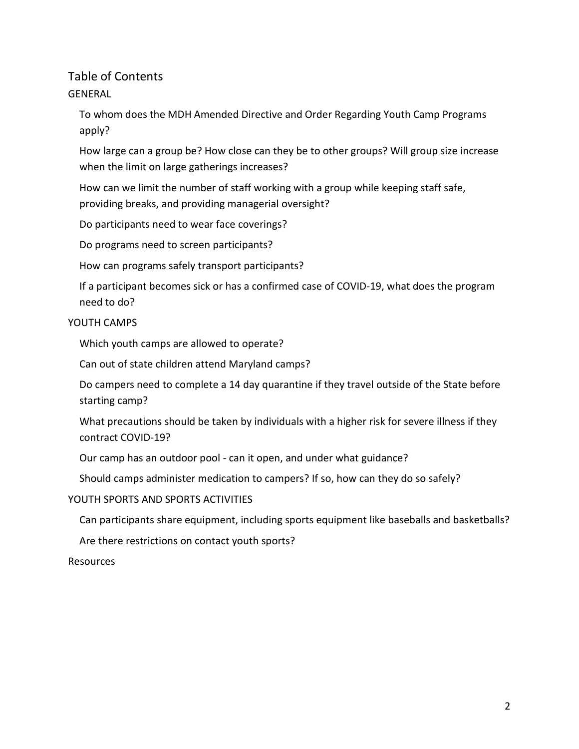# Table of Contents [GENERAL](#page-2-0)

[To whom does the MDH Amended Directive and Order Regarding Youth Camp Programs](#page-2-1)  [apply?](#page-2-1)

[How large can a group be? How close can they be to other groups? Will group size increase](#page-2-2) [when the limit on large gatherings increases?](#page-2-2)

[How can we limit the number of staff working with a group while keeping staff safe,](#page-2-3)  [providing breaks, and providing managerial oversight?](#page-2-3)

[Do participants need to wear face coverings?](#page-2-4)

[Do programs need to screen participants?](#page-3-0)

[How can programs safely transport participants?](#page-3-1)

[If a participant becomes sick or has a confirmed case of COVID-19, what does the program](#page-3-2)  [need to do?](#page-3-2)

## [YOUTH CAMPS](#page-4-0)

[Which youth camps are allowed to operate?](#page-4-1)

[Can out of state children attend Maryland camps?](#page-4-2)

[Do campers need to complete a 14 day quarantine if they travel outside of the State before](#page-4-3)  [starting camp?](#page-4-3)

[What precautions should be taken by individuals with a higher risk for severe illness if they](#page-5-0)  [contract COVID-19?](#page-5-0)

Our camp has an outdoor pool - [can it open, and under what guidance?](#page-5-1)

[Should camps administer medication to campers? If so, how can they do so safely?](#page-5-2)

## [YOUTH SPORTS AND SPORTS ACTIVITIES](#page-5-3)

[Can participants share equipment, including sports equipment like baseballs and basketballs?](#page-5-4)

[Are there restrictions on contact youth sports?](#page-5-5)

[Resources](#page-7-0)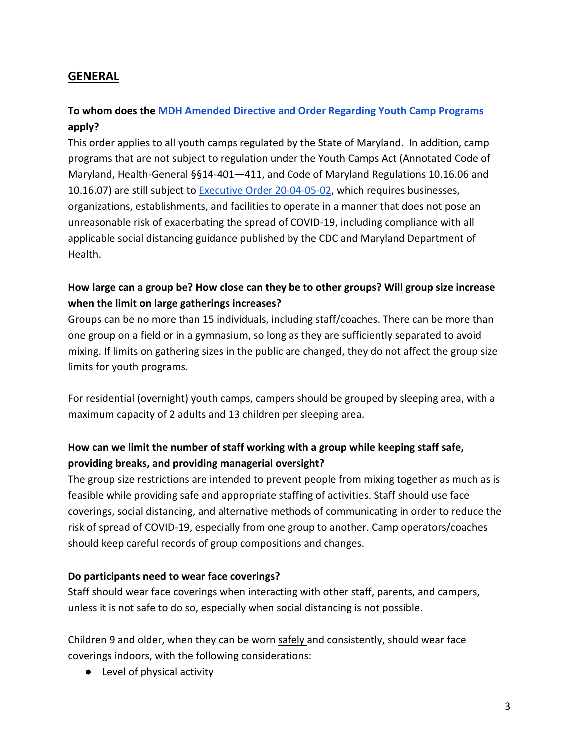# <span id="page-2-1"></span><span id="page-2-0"></span>**GENERAL**

## **To whom does the [MDH Amended Directive and Order Regarding Youth Camp Programs](https://phpa.health.maryland.gov/Documents/2020.06.12.02%20-%20MDH%20Order%20-%20Amended%20Youth%20Camps.pdf) apply?**

This order applies to all youth camps regulated by the State of Maryland. In addition, camp programs that are not subject to regulation under the Youth Camps Act (Annotated Code of Maryland, Health-General §§14-401—411, and Code of Maryland Regulations 10.16.06 and 10.16.07) are still subject to [Executive Order 20-04-05-02,](https://governor.maryland.gov/wp-content/uploads/2020/04/Delegation-to-County-Health-Officials-4.5.20.pdf) which requires businesses, organizations, establishments, and facilities to operate in a manner that does not pose an unreasonable risk of exacerbating the spread of COVID-19, including compliance with all applicable social distancing guidance published by the CDC and Maryland Department of Health.

## <span id="page-2-2"></span>**How large can a group be? How close can they be to other groups? Will group size increase when the limit on large gatherings increases?**

Groups can be no more than 15 individuals, including staff/coaches. There can be more than one group on a field or in a gymnasium, so long as they are sufficiently separated to avoid mixing. If limits on gathering sizes in the public are changed, they do not affect the group size limits for youth programs.

For residential (overnight) youth camps, campers should be grouped by sleeping area, with a maximum capacity of 2 adults and 13 children per sleeping area.

# <span id="page-2-3"></span>**How can we limit the number of staff working with a group while keeping staff safe, providing breaks, and providing managerial oversight?**

The group size restrictions are intended to prevent people from mixing together as much as is feasible while providing safe and appropriate staffing of activities. Staff should use face coverings, social distancing, and alternative methods of communicating in order to reduce the risk of spread of COVID-19, especially from one group to another. Camp operators/coaches should keep careful records of group compositions and changes.

## <span id="page-2-4"></span>**Do participants need to wear face coverings?**

Staff should wear face coverings when interacting with other staff, parents, and campers, unless it is not safe to do so, especially when social distancing is not possible.

Children 9 and older, when they can be worn safely and consistently, should wear face coverings indoors, with the following considerations:

● Level of physical activity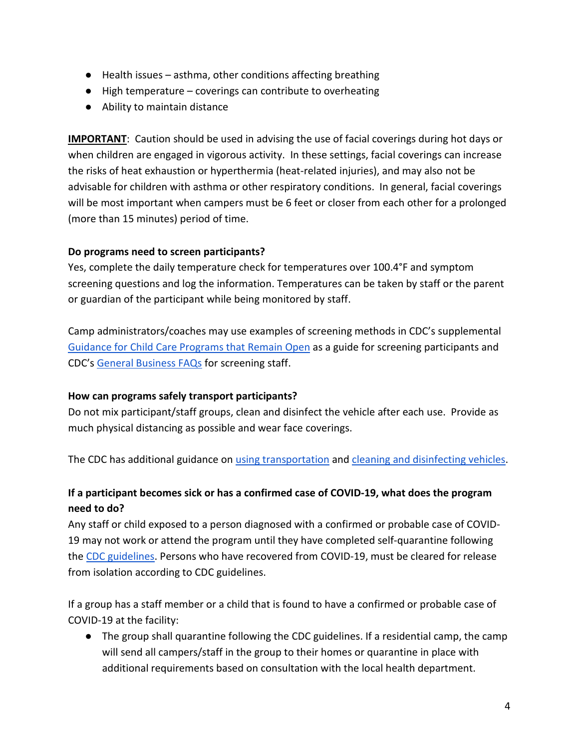- Health issues asthma, other conditions affecting breathing
- High temperature coverings can contribute to overheating
- Ability to maintain distance

**IMPORTANT**: Caution should be used in advising the use of facial coverings during hot days or when children are engaged in vigorous activity. In these settings, facial coverings can increase the risks of heat exhaustion or hyperthermia (heat-related injuries), and may also not be advisable for children with asthma or other respiratory conditions. In general, facial coverings will be most important when campers must be 6 feet or closer from each other for a prolonged (more than 15 minutes) period of time.

## <span id="page-3-0"></span>**Do programs need to screen participants?**

Yes, complete the daily temperature check for temperatures over 100.4°F and symptom screening questions and log the information. Temperatures can be taken by staff or the parent or guardian of the participant while being monitored by staff.

Camp administrators/coaches may use examples of screening methods in CDC's supplemental [Guidance for Child Care Programs that Remain Open](https://www.cdc.gov/coronavirus/2019-ncov/community/schools-childcare/guidance-for-childcare.html) as a guide for screening participants and CDC's [General Business FAQs](https://www.cdc.gov/coronavirus/2019-ncov/community/general-business-faq.html) for screening staff.

## <span id="page-3-1"></span>**How can programs safely transport participants?**

Do not mix participant/staff groups, clean and disinfect the vehicle after each use. Provide as much physical distancing as possible and wear face coverings.

<span id="page-3-2"></span>The CDC has additional guidance on [using transportation](https://www.cdc.gov/coronavirus/2019-ncov/daily-life-coping/using-transportation.html) and [cleaning and disinfecting vehicles.](https://www.cdc.gov/coronavirus/2019-ncov/community/organizations/disinfecting-transport-vehicles.html)

## **If a participant becomes sick or has a confirmed case of COVID-19, what does the program need to do?**

Any staff or child exposed to a person diagnosed with a confirmed or probable case of COVID-19 may not work or attend the program until they have completed self-quarantine following the [CDC guidelines.](https://www.cdc.gov/coronavirus/2019-ncov/if-you-are-sick/quarantine-isolation.html) Persons who have recovered from COVID-19, must be cleared for release from isolation according to CDC guidelines.

If a group has a staff member or a child that is found to have a confirmed or probable case of COVID-19 at the facility:

● The group shall quarantine following the CDC guidelines. If a residential camp, the camp will send all campers/staff in the group to their homes or quarantine in place with additional requirements based on consultation with the local health department.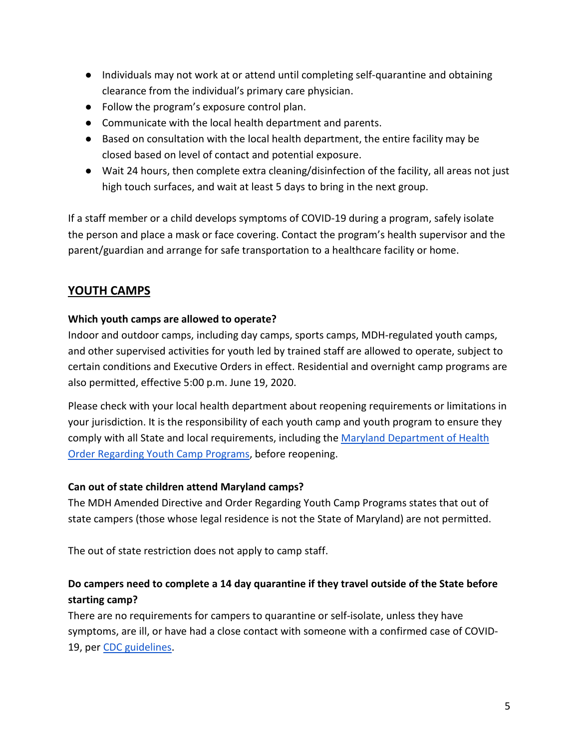- Individuals may not work at or attend until completing self-quarantine and obtaining clearance from the individual's primary care physician.
- Follow the program's exposure control plan.
- Communicate with the local health department and parents.
- Based on consultation with the local health department, the entire facility may be closed based on level of contact and potential exposure.
- Wait 24 hours, then complete extra cleaning/disinfection of the facility, all areas not just high touch surfaces, and wait at least 5 days to bring in the next group.

If a staff member or a child develops symptoms of COVID-19 during a program, safely isolate the person and place a mask or face covering. Contact the program's health supervisor and the parent/guardian and arrange for safe transportation to a healthcare facility or home.

# <span id="page-4-0"></span>**YOUTH CAMPS**

## <span id="page-4-1"></span>**Which youth camps are allowed to operate?**

Indoor and outdoor camps, including day camps, sports camps, MDH-regulated youth camps, and other supervised activities for youth led by trained staff are allowed to operate, subject to certain conditions and Executive Orders in effect. Residential and overnight camp programs are also permitted, effective 5:00 p.m. June 19, 2020.

Please check with your local health department about reopening requirements or limitations in your jurisdiction. It is the responsibility of each youth camp and youth program to ensure they comply with all State and local requirements, including the [Maryland Department of Health](https://phpa.health.maryland.gov/Documents/2020.06.12.02%20-%20MDH%20Order%20-%20Amended%20Youth%20Camps.pdf)  [Order Regarding Youth Camp Programs,](https://phpa.health.maryland.gov/Documents/2020.06.12.02%20-%20MDH%20Order%20-%20Amended%20Youth%20Camps.pdf) before reopening.

## <span id="page-4-2"></span>**Can out of state children attend Maryland camps?**

The MDH Amended Directive and Order Regarding Youth Camp Programs states that out of state campers (those whose legal residence is not the State of Maryland) are not permitted.

<span id="page-4-3"></span>The out of state restriction does not apply to camp staff.

## **Do campers need to complete a 14 day quarantine if they travel outside of the State before starting camp?**

There are no requirements for campers to quarantine or self-isolate, unless they have symptoms, are ill, or have had a close contact with someone with a confirmed case of COVID-19, per [CDC guidelines.](https://www.cdc.gov/coronavirus/2019-ncov/if-you-are-sick/quarantine-isolation.html)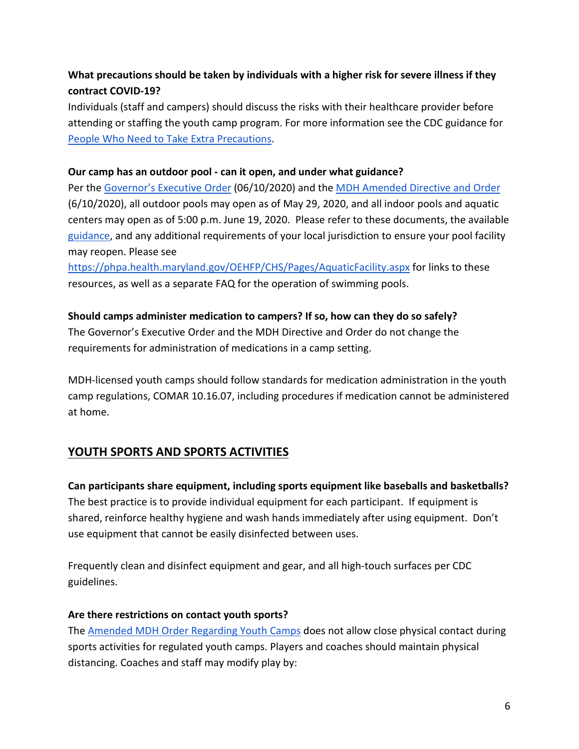# <span id="page-5-0"></span>**What precautions should be taken by individuals with a higher risk for severe illness if they contract COVID-19?**

Individuals (staff and campers) should discuss the risks with their healthcare provider before attending or staffing the youth camp program. For more information see the CDC guidance for [People Who Need to Take Extra Precautions.](https://www.cdc.gov/coronavirus/2019-ncov/need-extra-precautions/index.html)

#### <span id="page-5-1"></span>**Our camp has an outdoor pool - can it open, and under what guidance?**

Per the [Governor's Executive Order](https://governor.maryland.gov/wp-content/uploads/2020/06/Gatherings-NINTH-AMENDED-6.10.20.pdf) (06/10/2020) and the [MDH Amended Directive and Order](https://phpa.health.maryland.gov/Documents/20.20.06.10.03%20-%20MDH%20Order%20-%20Amended%20Pools.pdf) (6/10/2020), all outdoor pools may open as of May 29, 2020, and all indoor pools and aquatic centers may open as of 5:00 p.m. June 19, 2020. Please refer to these documents, the available [guidance,](https://commerce.maryland.gov/Documents/BusinessResource/Swimming-Pools-COVID-19-Directives.pdf) and any additional requirements of your local jurisdiction to ensure your pool facility may reopen. Please see

<https://phpa.health.maryland.gov/OEHFP/CHS/Pages/AquaticFacility.aspx> for links to these resources, as well as a separate FAQ for the operation of swimming pools.

## <span id="page-5-2"></span>**Should camps administer medication to campers? If so, how can they do so safely?**

The Governor's Executive Order and the MDH Directive and Order do not change the requirements for administration of medications in a camp setting.

MDH-licensed youth camps should follow standards for medication administration in the youth camp regulations, COMAR 10.16.07, including procedures if medication cannot be administered at home.

# <span id="page-5-4"></span><span id="page-5-3"></span>**YOUTH SPORTS AND SPORTS ACTIVITIES**

**Can participants share equipment, including sports equipment like baseballs and basketballs?** The best practice is to provide individual equipment for each participant. If equipment is shared, reinforce healthy hygiene and wash hands immediately after using equipment. Don't use equipment that cannot be easily disinfected between uses.

Frequently clean and disinfect equipment and gear, and all high-touch surfaces per CDC guidelines.

#### <span id="page-5-5"></span>**Are there restrictions on contact youth sports?**

The [Amended MDH Order Regarding Youth Camps](https://phpa.health.maryland.gov/Documents/2020.06.12.02%20-%20MDH%20Order%20-%20Amended%20Youth%20Camps.pdf) does not allow close physical contact during sports activities for regulated youth camps. Players and coaches should maintain physical distancing. Coaches and staff may modify play by: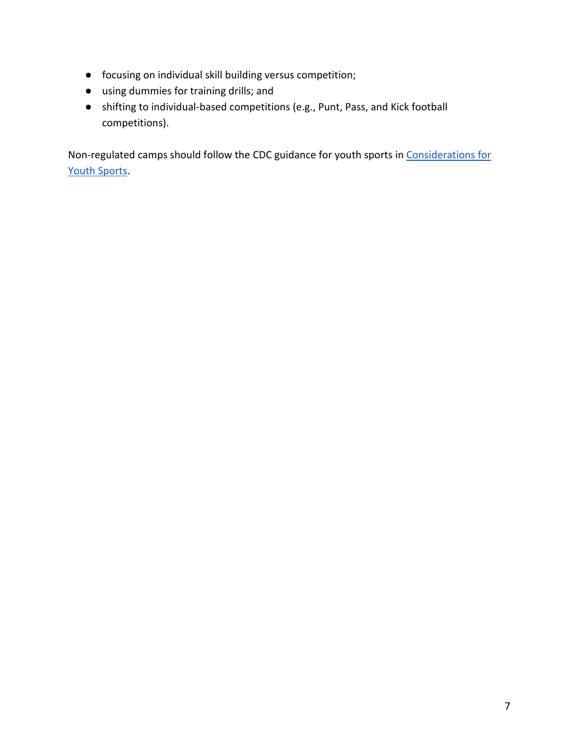- focusing on individual skill building versus competition;
- using dummies for training drills; and
- shifting to individual-based competitions (e.g., Punt, Pass, and Kick football competitions).

Non-regulated camps should follow the CDC guidance for youth sports i[n Considerations for](https://www.cdc.gov/coronavirus/2019-ncov/community/schools-childcare/youth-sports.html)  [Youth Sports.](https://www.cdc.gov/coronavirus/2019-ncov/community/schools-childcare/youth-sports.html)